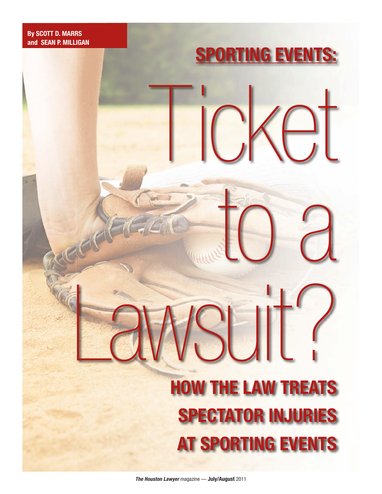# **By SCOTT D. MARRS and SEAN P. MILLIGAN**

# Ticket to a Lawsuit? **HOW THE LAW TREATS SPECTATOR INJURIES AT SPORTING EVENTS**

**SPORTING EVENTS:**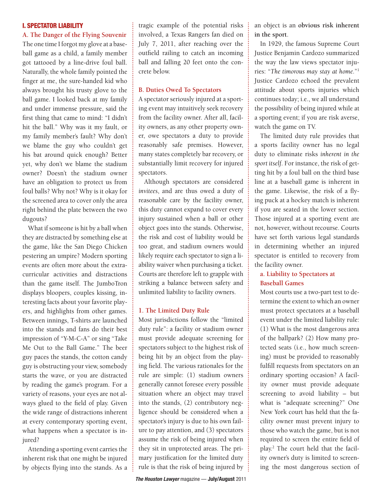## I. SPECTATOR LIABILITY

#### **A. The Danger of the Flying Souvenir**

The one time I forgot my glove at a baseball game as a child, a family member got tattooed by a line-drive foul ball. Naturally, the whole family pointed the finger at me, the sure-handed kid who always brought his trusty glove to the ball game. I looked back at my family and under immense pressure, said the first thing that came to mind: "I didn't hit the ball." Why was it my fault, or my family member's fault? Why don't we blame the guy who couldn't get his bat around quick enough? Better yet, why don't we blame the stadium owner? Doesn't the stadium owner have an obligation to protect us from foul balls? Why not? Why is it okay for the screened area to cover only the area right behind the plate between the two dugouts?

What if someone is hit by a ball when they are distracted by something else at the game, like the San Diego Chicken pestering an umpire? Modern sporting events are often more about the extracurricular activities and distractions than the game itself. The JumboTron displays bloopers, couples kissing, interesting facts about your favorite players, and highlights from other games. Between innings, T-shirts are launched into the stands and fans do their best impression of "Y-M-C-A" or sing "Take Me Out to the Ball Game." The beer guy paces the stands, the cotton candy guy is obstructing your view, somebody starts the wave, or you are distracted by reading the game's program. For a variety of reasons, your eyes are not always glued to the field of play. Given the wide range of distractions inherent at every contemporary sporting event, what happens when a spectator is injured?

Attending a sporting event carries the inherent risk that one might be injured by objects flying into the stands. As a

tragic example of the potential risks involved, a Texas Rangers fan died on July 7, 2011, after reaching over the outfield railing to catch an incoming ball and falling 20 feet onto the concrete below.

### **B. Duties Owed To Spectators**

A spectator seriously injured at a sporting event may intuitively seek recovery from the facility owner. After all, facility owners, as any other property owner, owe spectators a duty to provide reasonably safe premises. However, many states completely bar recovery, or substantially limit recovery for injured spectators.

Although spectators are considered *invitees*, and are thus owed a duty of reasonable care by the facility owner, this duty cannot expand to cover every injury sustained when a ball or other object goes into the stands. Otherwise, the risk and cost of liability would be too great, and stadium owners would likely require each spectator to sign a liability waiver when purchasing a ticket. Courts are therefore left to grapple with striking a balance between safety and unlimited liability to facility owners.

### **1. The Limited Duty Rule**

Most jurisdictions follow the "limited duty rule": a facility or stadium owner must provide adequate screening for spectators subject to the highest risk of being hit by an object from the playing field. The various rationales for the rule are simple: (1) stadium owners generally cannot foresee every possible situation where an object may travel into the stands, (2) contributory negligence should be considered when a spectator's injury is due to his own failure to pay attention, and (3) spectators assume the risk of being injured when they sit in unprotected areas. The primary justification for the limited duty rule is that the risk of being injured by an object is an **obvious risk inherent in the sport**.

In 1929, the famous Supreme Court Justice Benjamin Cardozo summarized the way the law views spectator injuries: "*The timorous may stay at home.*"1 Justice Cardozo echoed the prevalent attitude about sports injuries which continues today; i.e., we all understand the possibility of being injured while at a sporting event; if you are risk averse, watch the game on TV.

The limited duty rule provides that a sports facility owner has no legal duty to eliminate risks *inherent in the sport itself*. For instance, the risk of getting hit by a foul ball on the third base line at a baseball game is inherent in the game. Likewise, the risk of a flying puck at a hockey match is inherent if you are seated in the lower section. Those injured at a sporting event are not, however, without recourse. Courts have set forth various legal standards in determining whether an injured spectator is entitled to recovery from the facility owner.

# **a. Liability to Spectators at Baseball Games**

Most courts use a two-part test to determine the extent to which an owner must protect spectators at a baseball event under the limited liability rule: (1) What is the most dangerous area of the ballpark? (2) How many protected seats (i.e., how much screening) must be provided to reasonably fulfill requests from spectators on an ordinary sporting occasion? A facility owner must provide adequate screening to avoid liability – but what is "adequate screening?" One New York court has held that the facility owner must prevent injury to those who watch the game, but is not required to screen the entire field of play.2 The court held that the facility owner's duty is limited to screening the most dangerous section of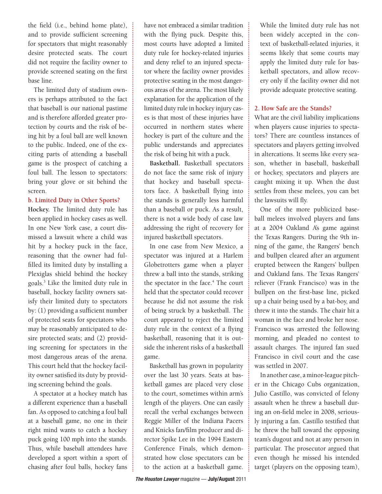the field (i.e., behind home plate), and to provide sufficient screening for spectators that might reasonably desire protected seats. The court did not require the facility owner to provide screened seating on the first base line.

The limited duty of stadium owners is perhaps attributed to the fact that baseball is our national pastime and is therefore afforded greater protection by courts and the risk of being hit by a foul ball are well known to the public. Indeed, one of the exciting parts of attending a baseball game is the prospect of catching a foul ball. The lesson to spectators: bring your glove or sit behind the screen.

## **b. Limited Duty in Other Sports?**

**Hockey.** The limited duty rule has been applied in hockey cases as well. In one New York case, a court dismissed a lawsuit where a child was hit by a hockey puck in the face, reasoning that the owner had fulfilled its limited duty by installing a Plexiglas shield behind the hockey goals.3 Like the limited duty rule in baseball, hockey facility owners satisfy their limited duty to spectators by: (1) providing a sufficient number of protected seats for spectators who may be reasonably anticipated to desire protected seats; and (2) providing screening for spectators in the most dangerous areas of the arena. This court held that the hockey facility owner satisfied its duty by providing screening behind the goals.

A spectator at a hockey match has a different experience than a baseball fan. As opposed to catching a foul ball at a baseball game, no one in their right mind wants to catch a hockey puck going 100 mph into the stands. Thus, while baseball attendees have developed a sport within a sport of chasing after foul balls, hockey fans have not embraced a similar tradition with the flying puck. Despite this, most courts have adopted a limited duty rule for hockey-related injuries and deny relief to an injured spectator where the facility owner provides protective seating in the most dangerous areas of the arena. The most likely explanation for the application of the limited duty rule in hockey injury cases is that most of these injuries have occurred in northern states where hockey is part of the culture and the public understands and appreciates the risk of being hit with a puck.

**Basketball.** Basketball spectators do not face the same risk of injury that hockey and baseball spectators face. A basketball flying into the stands is generally less harmful than a baseball or puck. As a result, there is not a wide body of case law addressing the right of recovery for injured basketball spectators.

In one case from New Mexico, a spectator was injured at a Harlem Globetrotters game when a player threw a ball into the stands, striking the spectator in the face.<sup>4</sup> The court held that the spectator could recover because he did not assume the risk of being struck by a basketball. The court appeared to reject the limited duty rule in the context of a flying basketball, reasoning that it is outside the inherent risks of a basketball game.

Basketball has grown in popularity over the last 30 years. Seats at basketball games are placed very close to the court, sometimes within arm's length of the players. One can easily recall the verbal exchanges between Reggie Miller of the Indiana Pacers and Knicks fan/film producer and director Spike Lee in the 1994 Eastern Conference Finals, which demonstrated how close spectators can be to the action at a basketball game. While the limited duty rule has not been widely accepted in the context of basketball-related injuries, it seems likely that some courts may apply the limited duty rule for basketball spectators, and allow recovery only if the facility owner did not provide adequate protective seating.

## **2. How Safe are the Stands?**

What are the civil liability implications when players cause injuries to spectators? There are countless instances of spectators and players getting involved in altercations. It seems like every season, whether in baseball, basketball or hockey, spectators and players are caught mixing it up. When the dust settles from these melees, you can bet the lawsuits will fly.

One of the more publicized baseball melees involved players and fans at a 2004 Oakland A's game against the Texas Rangers. During the 9th inning of the game, the Rangers' bench and bullpen cleared after an argument erupted between the Rangers' bullpen and Oakland fans. The Texas Rangers' reliever (Frank Francisco) was in the bullpen on the first-base line, picked up a chair being used by a bat-boy, and threw it into the stands. The chair hit a woman in the face and broke her nose. Francisco was arrested the following morning, and pleaded no contest to assault charges. The injured fan sued Francisco in civil court and the case was settled in 2007.

In another case, a minor-league pitcher in the Chicago Cubs organization, Julio Castillo, was convicted of felony assault when he threw a baseball during an on-field melee in 2008, seriously injuring a fan. Castillo testified that he threw the ball toward the opposing team's dugout and not at any person in particular. The prosecutor argued that even though he missed his intended target (players on the opposing team),